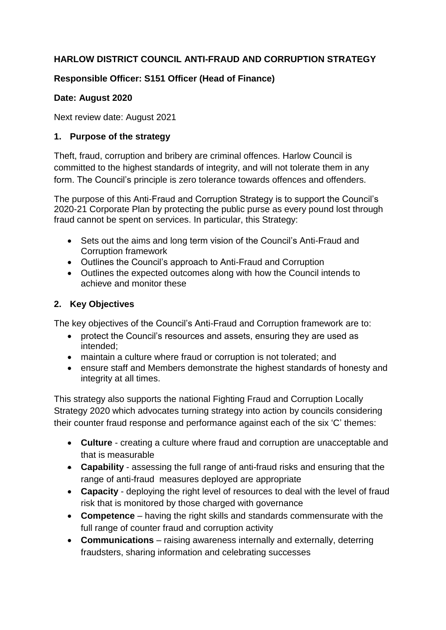# **HARLOW DISTRICT COUNCIL ANTI-FRAUD AND CORRUPTION STRATEGY**

# **Responsible Officer: S151 Officer (Head of Finance)**

## **Date: August 2020**

Next review date: August 2021

## **1. Purpose of the strategy**

Theft, fraud, corruption and bribery are criminal offences. Harlow Council is committed to the highest standards of integrity, and will not tolerate them in any form. The Council's principle is zero tolerance towards offences and offenders.

The purpose of this Anti-Fraud and Corruption Strategy is to support the Council's 2020-21 Corporate Plan by protecting the public purse as every pound lost through fraud cannot be spent on services. In particular, this Strategy:

- Sets out the aims and long term vision of the Council's Anti-Fraud and Corruption framework
- Outlines the Council's approach to Anti-Fraud and Corruption
- Outlines the expected outcomes along with how the Council intends to achieve and monitor these

# **2. Key Objectives**

The key objectives of the Council's Anti-Fraud and Corruption framework are to:

- protect the Council's resources and assets, ensuring they are used as intended;
- maintain a culture where fraud or corruption is not tolerated; and
- ensure staff and Members demonstrate the highest standards of honesty and integrity at all times.

This strategy also supports the national [Fighting Fraud and Corruption Locally](https://www.gov.uk/government/uploads/system/uploads/attachment_data/file/503657/Fighting_fraud_and_corruption_locally_strategy.pdf)  [Strategy](https://www.gov.uk/government/uploads/system/uploads/attachment_data/file/503657/Fighting_fraud_and_corruption_locally_strategy.pdf) 2020 which advocates turning strategy into action by councils considering their counter fraud response and performance against each of the six 'C' themes:

- **Culture**  creating a culture where fraud and corruption are unacceptable and that is measurable
- **Capability**  assessing the full range of anti-fraud risks and ensuring that the range of anti-fraud measures deployed are appropriate
- **Capacity**  deploying the right level of resources to deal with the level of fraud risk that is monitored by those charged with governance
- **Competence**  having the right skills and standards commensurate with the full range of counter fraud and corruption activity
- **Communications**  raising awareness internally and externally, deterring fraudsters, sharing information and celebrating successes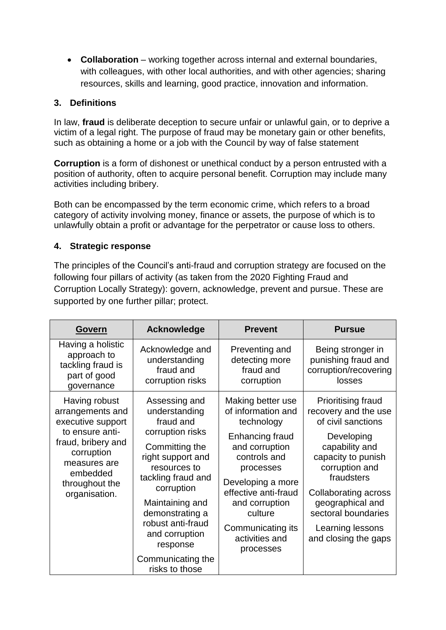**Collaboration** – working together across internal and external boundaries, with colleagues, with other local authorities, and with other agencies; sharing resources, skills and learning, good practice, innovation and information.

## **3. Definitions**

In [law,](https://en.wikipedia.org/wiki/Law) **fraud** is [deliberate](https://en.wikipedia.org/wiki/Intent_(law)) [deception](https://en.wikipedia.org/wiki/Deception) to secure unfair or unlawful gain, or to deprive a victim of a legal right. The purpose of fraud may be monetary gain or other benefits, such as obtaining a home or a job with the Council by way of false statement

**Corruption** is a form of [dishonest](https://en.wikipedia.org/wiki/Dishonest) or unethical conduct by a person entrusted with a position of authority, often to acquire personal benefit. Corruption may include many activities including [bribery.](https://en.wikipedia.org/wiki/Bribery)

Both can be encompassed by the term economic crime, which refers to a broad category of activity involving money, finance or assets, the purpose of which is to unlawfully obtain a profit or advantage for the perpetrator or cause loss to others.

## **4. Strategic response**

The principles of the Council's anti-fraud and corruption strategy are focused on the following four pillars of activity (as taken from the 2020 [Fighting Fraud and](https://www.gov.uk/government/uploads/system/uploads/attachment_data/file/503657/Fighting_fraud_and_corruption_locally_strategy.pdf)  [Corruption Locally Strategy\)](https://www.gov.uk/government/uploads/system/uploads/attachment_data/file/503657/Fighting_fraud_and_corruption_locally_strategy.pdf): govern, acknowledge, prevent and pursue. These are supported by one further pillar; protect.

| <b>Govern</b>                                                                                                      | <b>Acknowledge</b>                                                                                                                                                                                   | <b>Prevent</b>                                                                                                                                                                               | <b>Pursue</b>                                                                                                                                                                                     |
|--------------------------------------------------------------------------------------------------------------------|------------------------------------------------------------------------------------------------------------------------------------------------------------------------------------------------------|----------------------------------------------------------------------------------------------------------------------------------------------------------------------------------------------|---------------------------------------------------------------------------------------------------------------------------------------------------------------------------------------------------|
| Having a holistic<br>approach to<br>tackling fraud is<br>part of good<br>governance                                | Acknowledge and<br>understanding<br>fraud and<br>corruption risks                                                                                                                                    | Preventing and<br>detecting more<br>fraud and<br>corruption                                                                                                                                  | Being stronger in<br>punishing fraud and<br>corruption/recovering<br>losses                                                                                                                       |
| Having robust<br>arrangements and<br>executive support                                                             | Assessing and<br>understanding<br>fraud and                                                                                                                                                          | Making better use<br>of information and<br>technology                                                                                                                                        | <b>Prioritising fraud</b><br>recovery and the use<br>of civil sanctions                                                                                                                           |
| to ensure anti-<br>fraud, bribery and<br>corruption<br>measures are<br>embedded<br>throughout the<br>organisation. | corruption risks<br>Committing the<br>right support and<br>resources to<br>tackling fraud and<br>corruption<br>Maintaining and<br>demonstrating a<br>robust anti-fraud<br>and corruption<br>response | Enhancing fraud<br>and corruption<br>controls and<br>processes<br>Developing a more<br>effective anti-fraud<br>and corruption<br>culture<br>Communicating its<br>activities and<br>processes | Developing<br>capability and<br>capacity to punish<br>corruption and<br>fraudsters<br>Collaborating across<br>geographical and<br>sectoral boundaries<br>Learning lessons<br>and closing the gaps |
|                                                                                                                    | Communicating the<br>risks to those                                                                                                                                                                  |                                                                                                                                                                                              |                                                                                                                                                                                                   |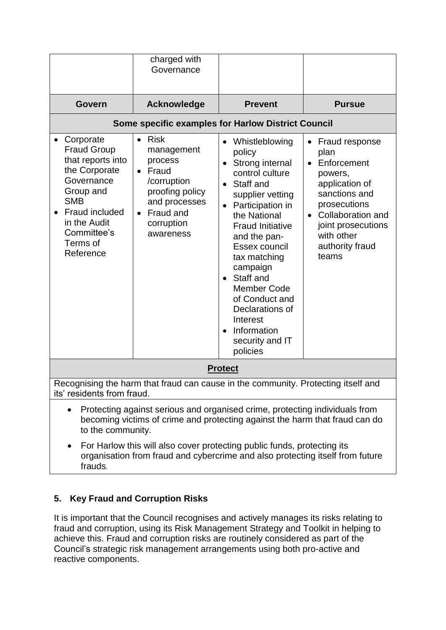|                                                                                                                                                                                                                                                                         | charged with<br>Governance                                                                                                                                  |                                                                                                                                                                                                                                                                                                                                                                                                      |                                                                                                                                                                                                       |
|-------------------------------------------------------------------------------------------------------------------------------------------------------------------------------------------------------------------------------------------------------------------------|-------------------------------------------------------------------------------------------------------------------------------------------------------------|------------------------------------------------------------------------------------------------------------------------------------------------------------------------------------------------------------------------------------------------------------------------------------------------------------------------------------------------------------------------------------------------------|-------------------------------------------------------------------------------------------------------------------------------------------------------------------------------------------------------|
| Govern                                                                                                                                                                                                                                                                  | <b>Acknowledge</b>                                                                                                                                          | <b>Prevent</b>                                                                                                                                                                                                                                                                                                                                                                                       | <b>Pursue</b>                                                                                                                                                                                         |
|                                                                                                                                                                                                                                                                         | <b>Some specific examples for Harlow District Council</b>                                                                                                   |                                                                                                                                                                                                                                                                                                                                                                                                      |                                                                                                                                                                                                       |
| Corporate<br><b>Fraud Group</b><br>that reports into<br>the Corporate<br>Governance<br>Group and<br><b>SMB</b><br><b>Fraud included</b><br>in the Audit<br>Committee's<br>Terms of<br>Reference                                                                         | Risk<br>$\bullet$<br>management<br>process<br>Fraud<br>$\bullet$<br>/corruption<br>proofing policy<br>and processes<br>Fraud and<br>corruption<br>awareness | Whistleblowing<br>$\bullet$<br>policy<br>Strong internal<br>control culture<br>Staff and<br>supplier vetting<br>Participation in<br>$\bullet$<br>the National<br><b>Fraud Initiative</b><br>and the pan-<br>Essex council<br>tax matching<br>campaign<br>Staff and<br>$\bullet$<br><b>Member Code</b><br>of Conduct and<br>Declarations of<br>Interest<br>Information<br>security and IT<br>policies | Fraud response<br>$\bullet$<br>plan<br>Enforcement<br>powers,<br>application of<br>sanctions and<br>prosecutions<br>Collaboration and<br>joint prosecutions<br>with other<br>authority fraud<br>teams |
| <b>Protect</b>                                                                                                                                                                                                                                                          |                                                                                                                                                             |                                                                                                                                                                                                                                                                                                                                                                                                      |                                                                                                                                                                                                       |
| Recognising the harm that fraud can cause in the community. Protecting itself and<br>its' residents from fraud.                                                                                                                                                         |                                                                                                                                                             |                                                                                                                                                                                                                                                                                                                                                                                                      |                                                                                                                                                                                                       |
| Protecting against serious and organised crime, protecting individuals from<br>$\bullet$<br>becoming victims of crime and protecting against the harm that fraud can do<br>to the community.<br>Ear Harlow this will also cover protecting public funds, protecting its |                                                                                                                                                             |                                                                                                                                                                                                                                                                                                                                                                                                      |                                                                                                                                                                                                       |

 For Harlow this will also cover protecting public funds, protecting its organisation from fraud and cybercrime and also protecting itself from future frauds.

# **5. Key Fraud and Corruption Risks**

It is important that the Council recognises and actively manages its risks relating to fraud and corruption, using its Risk Management Strategy and Toolkit in helping to achieve this. Fraud and corruption risks are routinely considered as part of the Council's strategic risk management arrangements using both pro-active and reactive components.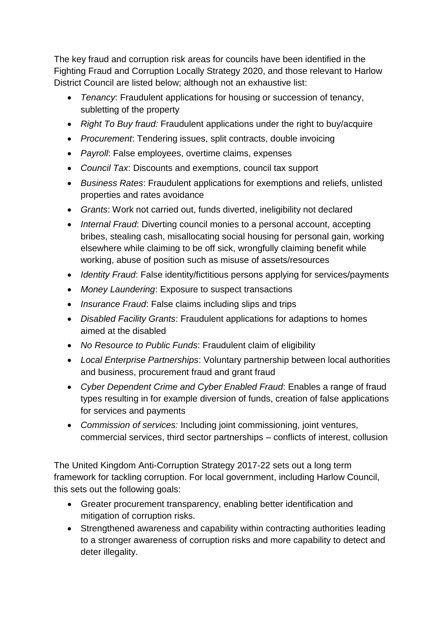The key fraud and corruption risk areas for councils have been identified in the [Fighting Fraud and Corruption Locally Strategy](https://www.gov.uk/government/uploads/system/uploads/attachment_data/file/503657/Fighting_fraud_and_corruption_locally_strategy.pdf) 2020, and those relevant to Harlow District Council are listed below; although not an exhaustive list:

- *Tenancy*: Fraudulent applications for housing or succession of tenancy, subletting of the property
- *Right To Buy fraud:* Fraudulent applications under the right to buy/acquire
- *Procurement*: Tendering issues, split contracts, double invoicing
- *Payroll*: False employees, overtime claims, expenses
- *Council Tax*: Discounts and exemptions, council tax support
- *Business Rates*: Fraudulent applications for exemptions and reliefs, unlisted properties and rates avoidance
- *Grants*: Work not carried out, funds diverted, ineligibility not declared
- *Internal Fraud*: Diverting council monies to a personal account, accepting bribes, stealing cash, misallocating social housing for personal gain, working elsewhere while claiming to be off sick, wrongfully claiming benefit while working, abuse of position such as misuse of assets/resources
- *Identity Fraud*: False identity/fictitious persons applying for services/payments
- *Money Laundering*: Exposure to suspect transactions
- *Insurance Fraud*: False claims including slips and trips
- *Disabled Facility Grants*: Fraudulent applications for adaptions to homes aimed at the disabled
- *No Resource to Public Funds*: Fraudulent claim of eligibility
- *Local Enterprise Partnerships*: Voluntary partnership between local authorities and business, procurement fraud and grant fraud
- *Cyber Dependent Crime and Cyber Enabled Fraud*: Enables a range of fraud types resulting in for example diversion of funds, creation of false applications for services and payments
- *Commission of services:* Including joint commissioning, joint ventures, commercial services, third sector partnerships – conflicts of interest, collusion

The United Kingdom Anti-Corruption Strategy 2017-22 sets out a long term framework for tackling corruption. For local government, including Harlow Council, this sets out the following goals:

- Greater procurement transparency, enabling better identification and mitigation of corruption risks.
- Strengthened awareness and capability within contracting authorities leading to a stronger awareness of corruption risks and more capability to detect and deter illegality.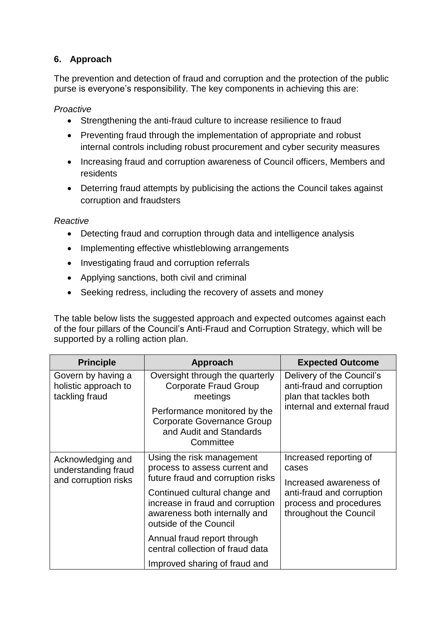## **6. Approach**

The prevention and detection of fraud and corruption and the protection of the public purse is everyone's responsibility. The key components in achieving this are:

*Proactive*

- Strengthening the anti-fraud culture to increase resilience to fraud
- Preventing fraud through the implementation of appropriate and robust internal controls including robust procurement and cyber security measures
- Increasing fraud and corruption awareness of Council officers, Members and residents
- Deterring fraud attempts by publicising the actions the Council takes against corruption and fraudsters

*Reactive*

- Detecting fraud and corruption through data and intelligence analysis
- Implementing effective whistleblowing arrangements
- Investigating fraud and corruption referrals
- Applying sanctions, both civil and criminal
- Seeking redress, including the recovery of assets and money

The table below lists the suggested approach and expected outcomes against each of the four pillars of the Council's Anti-Fraud and Corruption Strategy, which will be supported by a rolling action plan.

| <b>Principle</b>                                             | Approach                                                                                                                                                          | <b>Expected Outcome</b>                                                                                 |
|--------------------------------------------------------------|-------------------------------------------------------------------------------------------------------------------------------------------------------------------|---------------------------------------------------------------------------------------------------------|
| Govern by having a<br>holistic approach to<br>tackling fraud | Oversight through the quarterly<br><b>Corporate Fraud Group</b><br>meetings                                                                                       | Delivery of the Council's<br>anti-fraud and corruption<br>plan that tackles both                        |
|                                                              | Performance monitored by the<br><b>Corporate Governance Group</b><br>and Audit and Standards<br>Committee                                                         | internal and external fraud                                                                             |
| Acknowledging and<br>understanding fraud                     | Using the risk management<br>process to assess current and                                                                                                        | Increased reporting of<br>cases                                                                         |
| and corruption risks                                         | future fraud and corruption risks<br>Continued cultural change and<br>increase in fraud and corruption<br>awareness both internally and<br>outside of the Council | Increased awareness of<br>anti-fraud and corruption<br>process and procedures<br>throughout the Council |
|                                                              | Annual fraud report through<br>central collection of fraud data                                                                                                   |                                                                                                         |
|                                                              | Improved sharing of fraud and                                                                                                                                     |                                                                                                         |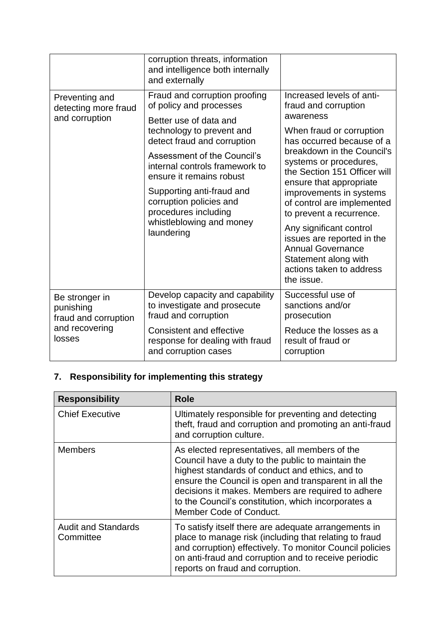|                                                                                 | corruption threats, information<br>and intelligence both internally<br>and externally                                                                                                                                                                                                                                                                                 |                                                                                                                                                                                                                                                                                                                                                                                                                                                                                        |
|---------------------------------------------------------------------------------|-----------------------------------------------------------------------------------------------------------------------------------------------------------------------------------------------------------------------------------------------------------------------------------------------------------------------------------------------------------------------|----------------------------------------------------------------------------------------------------------------------------------------------------------------------------------------------------------------------------------------------------------------------------------------------------------------------------------------------------------------------------------------------------------------------------------------------------------------------------------------|
| Preventing and<br>detecting more fraud<br>and corruption                        | Fraud and corruption proofing<br>of policy and processes<br>Better use of data and<br>technology to prevent and<br>detect fraud and corruption<br>Assessment of the Council's<br>internal controls framework to<br>ensure it remains robust<br>Supporting anti-fraud and<br>corruption policies and<br>procedures including<br>whistleblowing and money<br>laundering | Increased levels of anti-<br>fraud and corruption<br>awareness<br>When fraud or corruption<br>has occurred because of a<br>breakdown in the Council's<br>systems or procedures,<br>the Section 151 Officer will<br>ensure that appropriate<br>improvements in systems<br>of control are implemented<br>to prevent a recurrence.<br>Any significant control<br>issues are reported in the<br><b>Annual Governance</b><br>Statement along with<br>actions taken to address<br>the issue. |
| Be stronger in<br>punishing<br>fraud and corruption<br>and recovering<br>losses | Develop capacity and capability<br>to investigate and prosecute<br>fraud and corruption<br>Consistent and effective                                                                                                                                                                                                                                                   | Successful use of<br>sanctions and/or<br>prosecution<br>Reduce the losses as a                                                                                                                                                                                                                                                                                                                                                                                                         |
|                                                                                 | response for dealing with fraud<br>and corruption cases                                                                                                                                                                                                                                                                                                               | result of fraud or<br>corruption                                                                                                                                                                                                                                                                                                                                                                                                                                                       |

# **7. Responsibility for implementing this strategy**

| <b>Responsibility</b>                   | <b>Role</b>                                                                                                                                                                                                                                                                                                                                             |
|-----------------------------------------|---------------------------------------------------------------------------------------------------------------------------------------------------------------------------------------------------------------------------------------------------------------------------------------------------------------------------------------------------------|
| <b>Chief Executive</b>                  | Ultimately responsible for preventing and detecting<br>theft, fraud and corruption and promoting an anti-fraud<br>and corruption culture.                                                                                                                                                                                                               |
| <b>Members</b>                          | As elected representatives, all members of the<br>Council have a duty to the public to maintain the<br>highest standards of conduct and ethics, and to<br>ensure the Council is open and transparent in all the<br>decisions it makes. Members are required to adhere<br>to the Council's constitution, which incorporates a<br>Member Code of Conduct. |
| <b>Audit and Standards</b><br>Committee | To satisfy itself there are adequate arrangements in<br>place to manage risk (including that relating to fraud<br>and corruption) effectively. To monitor Council policies<br>on anti-fraud and corruption and to receive periodic<br>reports on fraud and corruption.                                                                                  |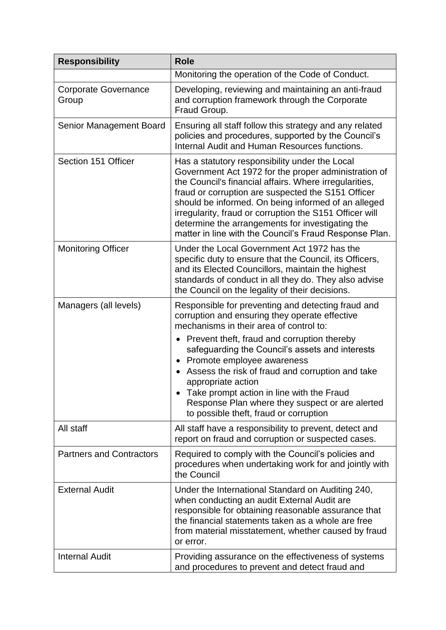| <b>Responsibility</b>                | <b>Role</b>                                                                                                                                                                                                                                                                                                                                                                                                                                                                                           |
|--------------------------------------|-------------------------------------------------------------------------------------------------------------------------------------------------------------------------------------------------------------------------------------------------------------------------------------------------------------------------------------------------------------------------------------------------------------------------------------------------------------------------------------------------------|
|                                      | Monitoring the operation of the Code of Conduct.                                                                                                                                                                                                                                                                                                                                                                                                                                                      |
| <b>Corporate Governance</b><br>Group | Developing, reviewing and maintaining an anti-fraud<br>and corruption framework through the Corporate<br>Fraud Group.                                                                                                                                                                                                                                                                                                                                                                                 |
| Senior Management Board              | Ensuring all staff follow this strategy and any related<br>policies and procedures, supported by the Council's<br>Internal Audit and Human Resources functions.                                                                                                                                                                                                                                                                                                                                       |
| Section 151 Officer                  | Has a statutory responsibility under the Local<br>Government Act 1972 for the proper administration of<br>the Council's financial affairs. Where irregularities,<br>fraud or corruption are suspected the S151 Officer<br>should be informed. On being informed of an alleged<br>irregularity, fraud or corruption the S151 Officer will<br>determine the arrangements for investigating the<br>matter in line with the Council's Fraud Response Plan.                                                |
| <b>Monitoring Officer</b>            | Under the Local Government Act 1972 has the<br>specific duty to ensure that the Council, its Officers,<br>and its Elected Councillors, maintain the highest<br>standards of conduct in all they do. They also advise<br>the Council on the legality of their decisions.                                                                                                                                                                                                                               |
| Managers (all levels)                | Responsible for preventing and detecting fraud and<br>corruption and ensuring they operate effective<br>mechanisms in their area of control to:<br>• Prevent theft, fraud and corruption thereby<br>safeguarding the Council's assets and interests<br>Promote employee awareness<br>Assess the risk of fraud and corruption and take<br>appropriate action<br>Take prompt action in line with the Fraud<br>Response Plan where they suspect or are alerted<br>to possible theft, fraud or corruption |
| All staff                            | All staff have a responsibility to prevent, detect and<br>report on fraud and corruption or suspected cases.                                                                                                                                                                                                                                                                                                                                                                                          |
| <b>Partners and Contractors</b>      | Required to comply with the Council's policies and<br>procedures when undertaking work for and jointly with<br>the Council                                                                                                                                                                                                                                                                                                                                                                            |
| <b>External Audit</b>                | Under the International Standard on Auditing 240,<br>when conducting an audit External Audit are<br>responsible for obtaining reasonable assurance that<br>the financial statements taken as a whole are free<br>from material misstatement, whether caused by fraud<br>or error.                                                                                                                                                                                                                     |
| <b>Internal Audit</b>                | Providing assurance on the effectiveness of systems<br>and procedures to prevent and detect fraud and                                                                                                                                                                                                                                                                                                                                                                                                 |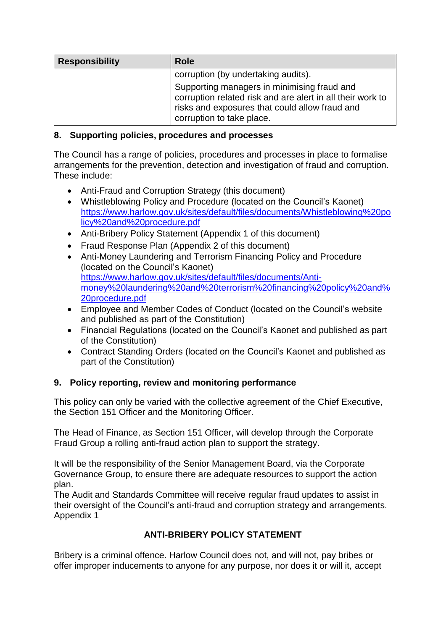| <b>Responsibility</b> | <b>Role</b>                                                                                                                                                                              |
|-----------------------|------------------------------------------------------------------------------------------------------------------------------------------------------------------------------------------|
|                       | corruption (by undertaking audits).                                                                                                                                                      |
|                       | Supporting managers in minimising fraud and<br>corruption related risk and are alert in all their work to<br>risks and exposures that could allow fraud and<br>corruption to take place. |

## **8. Supporting policies, procedures and processes**

The Council has a range of policies, procedures and processes in place to formalise arrangements for the prevention, detection and investigation of fraud and corruption. These include:

- Anti-Fraud and Corruption Strategy (this document)
- Whistleblowing Policy and Procedure (located on the Council's Kaonet) [https://www.harlow.gov.uk/sites/default/files/documents/Whistleblowing%20po](https://www.harlow.gov.uk/sites/default/files/documents/Whistleblowing%20policy%20and%20procedure.pdf) [licy%20and%20procedure.pdf](https://www.harlow.gov.uk/sites/default/files/documents/Whistleblowing%20policy%20and%20procedure.pdf)
- Anti-Bribery Policy Statement (Appendix 1 of this document)
- Fraud Response Plan (Appendix 2 of this document)
- Anti-Money Laundering and Terrorism Financing Policy and Procedure (located on the Council's Kaonet) [https://www.harlow.gov.uk/sites/default/files/documents/Anti](https://www.harlow.gov.uk/sites/default/files/documents/Anti-money%20laundering%20and%20terrorism%20financing%20policy%20and%20procedure.pdf)[money%20laundering%20and%20terrorism%20financing%20policy%20and%](https://www.harlow.gov.uk/sites/default/files/documents/Anti-money%20laundering%20and%20terrorism%20financing%20policy%20and%20procedure.pdf) [20procedure.pdf](https://www.harlow.gov.uk/sites/default/files/documents/Anti-money%20laundering%20and%20terrorism%20financing%20policy%20and%20procedure.pdf)
- Employee and Member Codes of Conduct (located on the Council's website and published as part of the Constitution)
- Financial Regulations (located on the Council's Kaonet and published as part of the Constitution)
- Contract Standing Orders (located on the Council's Kaonet and published as part of the Constitution)

# **9. Policy reporting, review and monitoring performance**

This policy can only be varied with the collective agreement of the Chief Executive, the Section 151 Officer and the Monitoring Officer.

The Head of Finance, as Section 151 Officer, will develop through the Corporate Fraud Group a rolling anti-fraud action plan to support the strategy.

It will be the responsibility of the Senior Management Board, via the Corporate Governance Group, to ensure there are adequate resources to support the action plan.

The Audit and Standards Committee will receive regular fraud updates to assist in their oversight of the Council's anti-fraud and corruption strategy and arrangements. Appendix 1

# **ANTI-BRIBERY POLICY STATEMENT**

Bribery is a criminal offence. Harlow Council does not, and will not, pay bribes or offer improper inducements to anyone for any purpose, nor does it or will it, accept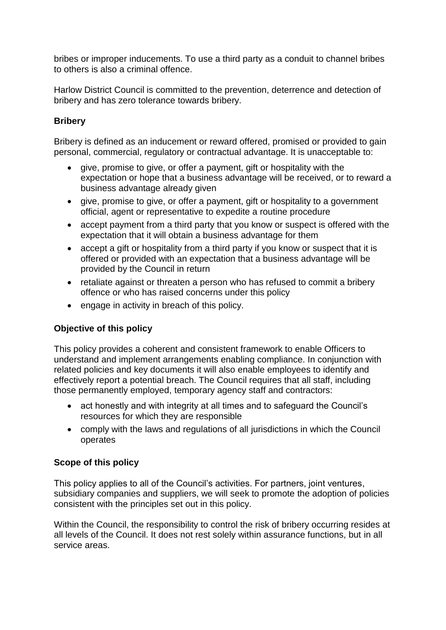bribes or improper inducements. To use a third party as a conduit to channel bribes to others is also a criminal offence.

Harlow District Council is committed to the prevention, deterrence and detection of bribery and has zero tolerance towards bribery.

## **Bribery**

Bribery is defined as an inducement or reward offered, promised or provided to gain personal, commercial, regulatory or contractual advantage. It is unacceptable to:

- give, promise to give, or offer a payment, gift or hospitality with the expectation or hope that a business advantage will be received, or to reward a business advantage already given
- give, promise to give, or offer a payment, gift or hospitality to a government official, agent or representative to expedite a routine procedure
- accept payment from a third party that you know or suspect is offered with the expectation that it will obtain a business advantage for them
- accept a gift or hospitality from a third party if you know or suspect that it is offered or provided with an expectation that a business advantage will be provided by the Council in return
- retaliate against or threaten a person who has refused to commit a bribery offence or who has raised concerns under this policy
- engage in activity in breach of this policy.

## **Objective of this policy**

This policy provides a coherent and consistent framework to enable Officers to understand and implement arrangements enabling compliance. In conjunction with related policies and key documents it will also enable employees to identify and effectively report a potential breach. The Council requires that all staff, including those permanently employed, temporary agency staff and contractors:

- act honestly and with integrity at all times and to safeguard the Council's resources for which they are responsible
- comply with the laws and regulations of all jurisdictions in which the Council operates

## **Scope of this policy**

This policy applies to all of the Council's activities. For partners, joint ventures, subsidiary companies and suppliers, we will seek to promote the adoption of policies consistent with the principles set out in this policy.

Within the Council, the responsibility to control the risk of bribery occurring resides at all levels of the Council. It does not rest solely within assurance functions, but in all service areas.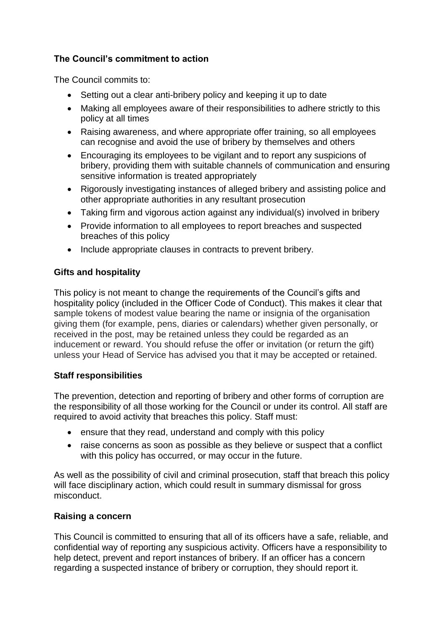## **The Council's commitment to action**

The Council commits to:

- Setting out a clear anti-bribery policy and keeping it up to date
- Making all employees aware of their responsibilities to adhere strictly to this policy at all times
- Raising awareness, and where appropriate offer training, so all employees can recognise and avoid the use of bribery by themselves and others
- Encouraging its employees to be vigilant and to report any suspicions of bribery, providing them with suitable channels of communication and ensuring sensitive information is treated appropriately
- Rigorously investigating instances of alleged bribery and assisting police and other appropriate authorities in any resultant prosecution
- Taking firm and vigorous action against any individual(s) involved in bribery
- Provide information to all employees to report breaches and suspected breaches of this policy
- Include appropriate clauses in contracts to prevent bribery.

## **Gifts and hospitality**

This policy is not meant to change the requirements of the Council's gifts and hospitality policy (included in the Officer Code of Conduct). This makes it clear that sample tokens of modest value bearing the name or insignia of the organisation giving them (for example, pens, diaries or calendars) whether given personally, or received in the post, may be retained unless they could be regarded as an inducement or reward. You should refuse the offer or invitation (or return the gift) unless your Head of Service has advised you that it may be accepted or retained.

## **Staff responsibilities**

The prevention, detection and reporting of bribery and other forms of corruption are the responsibility of all those working for the Council or under its control. All staff are required to avoid activity that breaches this policy. Staff must:

- ensure that they read, understand and comply with this policy
- raise concerns as soon as possible as they believe or suspect that a conflict with this policy has occurred, or may occur in the future.

As well as the possibility of civil and criminal prosecution, staff that breach this policy will face disciplinary action, which could result in summary dismissal for gross misconduct.

## **Raising a concern**

This Council is committed to ensuring that all of its officers have a safe, reliable, and confidential way of reporting any suspicious activity. Officers have a responsibility to help detect, prevent and report instances of bribery. If an officer has a concern regarding a suspected instance of bribery or corruption, they should report it.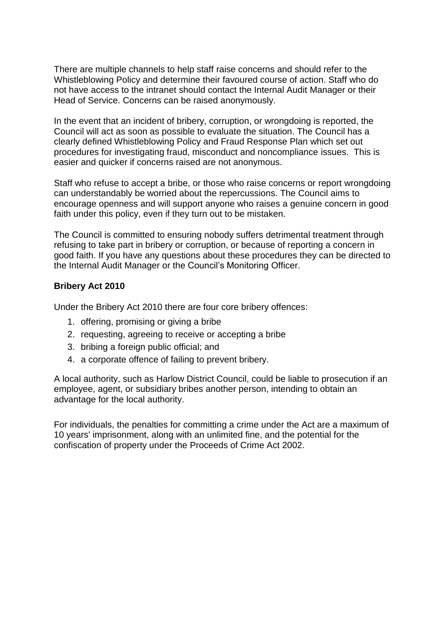There are multiple channels to help staff raise concerns and should refer to the Whistleblowing Policy and determine their favoured course of action. Staff who do not have access to the intranet should contact the Internal Audit Manager or their Head of Service. Concerns can be raised anonymously.

In the event that an incident of bribery, corruption, or wrongdoing is reported, the Council will act as soon as possible to evaluate the situation. The Council has a clearly defined Whistleblowing Policy and Fraud Response Plan which set out procedures for investigating fraud, misconduct and noncompliance issues. This is easier and quicker if concerns raised are not anonymous.

Staff who refuse to accept a bribe, or those who raise concerns or report wrongdoing can understandably be worried about the repercussions. The Council aims to encourage openness and will support anyone who raises a genuine concern in good faith under this policy, even if they turn out to be mistaken.

The Council is committed to ensuring nobody suffers detrimental treatment through refusing to take part in bribery or corruption, or because of reporting a concern in good faith. If you have any questions about these procedures they can be directed to the Internal Audit Manager or the Council's Monitoring Officer.

#### **Bribery Act 2010**

Under the Bribery Act 2010 there are four core bribery offences:

- 1. offering, promising or giving a bribe
- 2. requesting, agreeing to receive or accepting a bribe
- 3. bribing a foreign public official; and
- 4. a corporate offence of failing to prevent bribery.

A local authority, such as Harlow District Council, could be liable to prosecution if an employee, agent, or subsidiary bribes another person, intending to obtain an advantage for the local authority.

For individuals, the penalties for committing a crime under the Act are a maximum of 10 years' imprisonment, along with an unlimited fine, and the potential for the confiscation of property under the [Proceeds of Crime Act 2002.](https://en.wikipedia.org/wiki/Proceeds_of_Crime_Act_2002)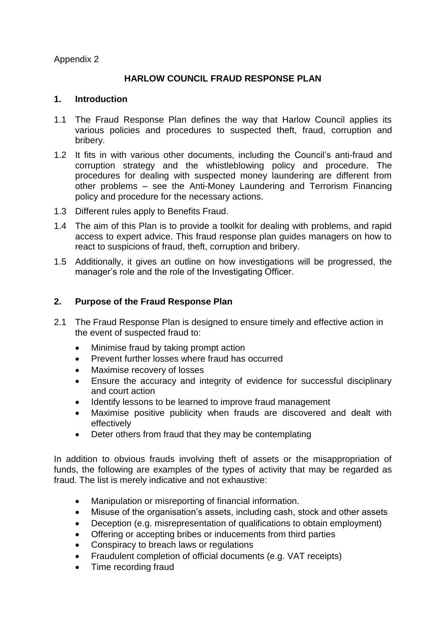Appendix 2

## **HARLOW COUNCIL FRAUD RESPONSE PLAN**

#### **1. Introduction**

- 1.1 The Fraud Response Plan defines the way that Harlow Council applies its various policies and procedures to suspected theft, fraud, corruption and bribery.
- 1.2 It fits in with various other documents, including the Council's anti-fraud and corruption strategy and the whistleblowing policy and procedure. The procedures for dealing with suspected money laundering are different from other problems – see the Anti-Money Laundering and Terrorism Financing policy and procedure for the necessary actions.
- 1.3 Different rules apply to Benefits Fraud.
- 1.4 The aim of this Plan is to provide a toolkit for dealing with problems, and rapid access to expert advice. This fraud response plan guides managers on how to react to suspicions of fraud, theft, corruption and bribery.
- 1.5 Additionally, it gives an outline on how investigations will be progressed, the manager's role and the role of the Investigating Officer.

#### **2. Purpose of the Fraud Response Plan**

- 2.1 The Fraud Response Plan is designed to ensure timely and effective action in the event of suspected fraud to:
	- Minimise fraud by taking prompt action
	- Prevent further losses where fraud has occurred
	- Maximise recovery of losses
	- Ensure the accuracy and integrity of evidence for successful disciplinary and court action
	- Identify lessons to be learned to improve fraud management
	- Maximise positive publicity when frauds are discovered and dealt with effectively
	- Deter others from fraud that they may be contemplating

In addition to obvious frauds involving theft of assets or the misappropriation of funds, the following are examples of the types of activity that may be regarded as fraud. The list is merely indicative and not exhaustive:

- Manipulation or misreporting of financial information.
- Misuse of the organisation's assets, including cash, stock and other assets
- Deception (e.g. misrepresentation of qualifications to obtain employment)
- Offering or accepting bribes or inducements from third parties
- Conspiracy to breach laws or regulations
- Fraudulent completion of official documents (e.g. VAT receipts)
- Time recording fraud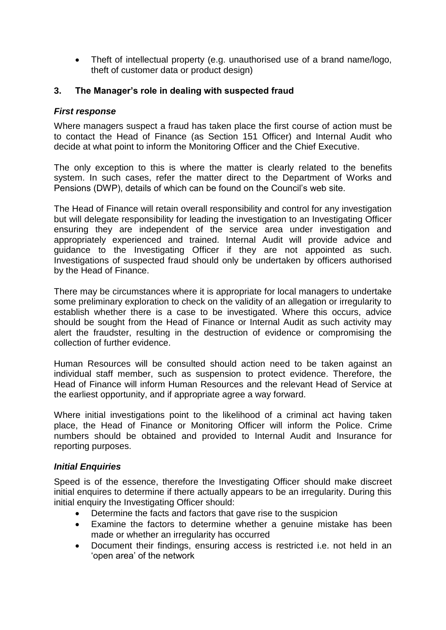Theft of intellectual property (e.g. unauthorised use of a brand name/logo, theft of customer data or product design)

#### **3. The Manager's role in dealing with suspected fraud**

#### *First response*

Where managers suspect a fraud has taken place the first course of action must be to contact the Head of Finance (as Section 151 Officer) and Internal Audit who decide at what point to inform the Monitoring Officer and the Chief Executive.

The only exception to this is where the matter is clearly related to the benefits system. In such cases, refer the matter direct to the Department of Works and Pensions (DWP), details of which can be found on the Council's web site.

The Head of Finance will retain overall responsibility and control for any investigation but will delegate responsibility for leading the investigation to an Investigating Officer ensuring they are independent of the service area under investigation and appropriately experienced and trained. Internal Audit will provide advice and guidance to the Investigating Officer if they are not appointed as such. Investigations of suspected fraud should only be undertaken by officers authorised by the Head of Finance.

There may be circumstances where it is appropriate for local managers to undertake some preliminary exploration to check on the validity of an allegation or irregularity to establish whether there is a case to be investigated. Where this occurs, advice should be sought from the Head of Finance or Internal Audit as such activity may alert the fraudster, resulting in the destruction of evidence or compromising the collection of further evidence.

Human Resources will be consulted should action need to be taken against an individual staff member, such as suspension to protect evidence. Therefore, the Head of Finance will inform Human Resources and the relevant Head of Service at the earliest opportunity, and if appropriate agree a way forward.

Where initial investigations point to the likelihood of a criminal act having taken place, the Head of Finance or Monitoring Officer will inform the Police. Crime numbers should be obtained and provided to Internal Audit and Insurance for reporting purposes.

#### *Initial Enquiries*

Speed is of the essence, therefore the Investigating Officer should make discreet initial enquires to determine if there actually appears to be an irregularity. During this initial enquiry the Investigating Officer should:

- Determine the facts and factors that gave rise to the suspicion
- Examine the factors to determine whether a genuine mistake has been made or whether an irregularity has occurred
- Document their findings, ensuring access is restricted i.e. not held in an 'open area' of the network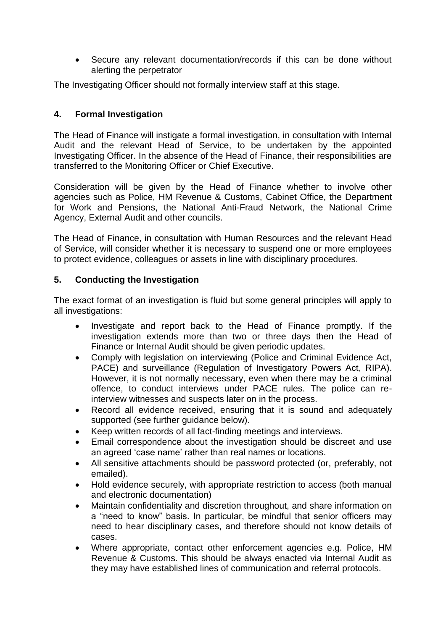Secure any relevant documentation/records if this can be done without alerting the perpetrator

The Investigating Officer should not formally interview staff at this stage.

## **4. Formal Investigation**

The Head of Finance will instigate a formal investigation, in consultation with Internal Audit and the relevant Head of Service, to be undertaken by the appointed Investigating Officer. In the absence of the Head of Finance, their responsibilities are transferred to the Monitoring Officer or Chief Executive.

Consideration will be given by the Head of Finance whether to involve other agencies such as Police, HM Revenue & Customs, Cabinet Office, the Department for Work and Pensions, the National Anti-Fraud Network, the National Crime Agency, External Audit and other councils.

The Head of Finance, in consultation with Human Resources and the relevant Head of Service, will consider whether it is necessary to suspend one or more employees to protect evidence, colleagues or assets in line with disciplinary procedures.

## **5. Conducting the Investigation**

The exact format of an investigation is fluid but some general principles will apply to all investigations:

- Investigate and report back to the Head of Finance promptly. If the investigation extends more than two or three days then the Head of Finance or Internal Audit should be given periodic updates.
- Comply with legislation on interviewing (Police and Criminal Evidence Act, PACE) and surveillance (Regulation of Investigatory Powers Act, RIPA). However, it is not normally necessary, even when there may be a criminal offence, to conduct interviews under PACE rules. The police can reinterview witnesses and suspects later on in the process.
- Record all evidence received, ensuring that it is sound and adequately supported (see further guidance below).
- Keep written records of all fact-finding meetings and interviews.
- Email correspondence about the investigation should be discreet and use an agreed 'case name' rather than real names or locations.
- All sensitive attachments should be password protected (or, preferably, not emailed).
- Hold evidence securely, with appropriate restriction to access (both manual and electronic documentation)
- Maintain confidentiality and discretion throughout, and share information on a "need to know" basis. In particular, be mindful that senior officers may need to hear disciplinary cases, and therefore should not know details of cases.
- Where appropriate, contact other enforcement agencies e.g. Police, HM Revenue & Customs. This should be always enacted via Internal Audit as they may have established lines of communication and referral protocols.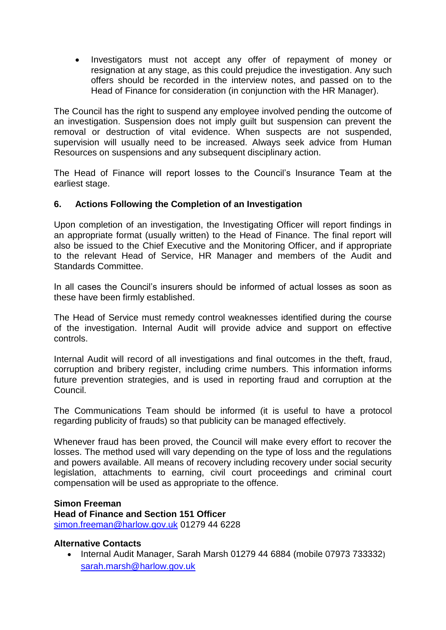Investigators must not accept any offer of repayment of money or resignation at any stage, as this could prejudice the investigation. Any such offers should be recorded in the interview notes, and passed on to the Head of Finance for consideration (in conjunction with the HR Manager).

The Council has the right to suspend any employee involved pending the outcome of an investigation. Suspension does not imply guilt but suspension can prevent the removal or destruction of vital evidence. When suspects are not suspended, supervision will usually need to be increased. Always seek advice from Human Resources on suspensions and any subsequent disciplinary action.

The Head of Finance will report losses to the Council's Insurance Team at the earliest stage.

#### **6. Actions Following the Completion of an Investigation**

Upon completion of an investigation, the Investigating Officer will report findings in an appropriate format (usually written) to the Head of Finance. The final report will also be issued to the Chief Executive and the Monitoring Officer, and if appropriate to the relevant Head of Service, HR Manager and members of the Audit and Standards Committee.

In all cases the Council's insurers should be informed of actual losses as soon as these have been firmly established.

The Head of Service must remedy control weaknesses identified during the course of the investigation. Internal Audit will provide advice and support on effective controls.

Internal Audit will record of all investigations and final outcomes in the theft, fraud, corruption and bribery register, including crime numbers. This information informs future prevention strategies, and is used in reporting fraud and corruption at the Council.

The Communications Team should be informed (it is useful to have a protocol regarding publicity of frauds) so that publicity can be managed effectively.

Whenever fraud has been proved, the Council will make every effort to recover the losses. The method used will vary depending on the type of loss and the regulations and powers available. All means of recovery including recovery under social security legislation, attachments to earning, civil court proceedings and criminal court compensation will be used as appropriate to the offence.

#### **Simon Freeman**

**Head of Finance and Section 151 Officer** [simon.freeman@harlow.gov.uk](mailto:simon.freeman@harlow.gov.uk) 01279 44 6228

#### **Alternative Contacts**

• Internal Audit Manager, Sarah Marsh 01279 44 6884 (mobile 07973 733332) [sarah.marsh@harlow.gov.uk](mailto:sarah.marsh@harlow.gov.uk)